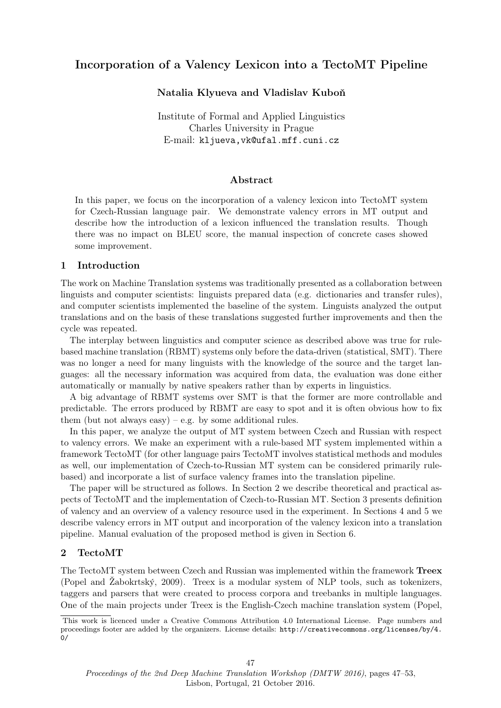# Incorporation of a Valency Lexicon into a TectoMT Pipeline

# Natalia Klyueva and Vladislav Kuboň

Institute of Formal and Applied Linguistics Charles University in Prague E-mail: kljueva,vk@ufal.mff.cuni.cz

# Abstract

In this paper, we focus on the incorporation of a valency lexicon into TectoMT system for Czech-Russian language pair. We demonstrate valency errors in MT output and describe how the introduction of a lexicon influenced the translation results. Though there was no impact on BLEU score, the manual inspection of concrete cases showed some improvement.

## 1 Introduction

The work on Machine Translation systems was traditionally presented as a collaboration between linguists and computer scientists: linguists prepared data (e.g. dictionaries and transfer rules), and computer scientists implemented the baseline of the system. Linguists analyzed the output translations and on the basis of these translations suggested further improvements and then the cycle was repeated.

The interplay between linguistics and computer science as described above was true for rulebased machine translation (RBMT) systems only before the data-driven (statistical, SMT). There was no longer a need for many linguists with the knowledge of the source and the target languages: all the necessary information was acquired from data, the evaluation was done either automatically or manually by native speakers rather than by experts in linguistics.

A big advantage of RBMT systems over SMT is that the former are more controllable and predictable. The errors produced by RBMT are easy to spot and it is often obvious how to fix them (but not always easy) – e.g. by some additional rules.

In this paper, we analyze the output of MT system between Czech and Russian with respect to valency errors. We make an experiment with a rule-based MT system implemented within a framework TectoMT (for other language pairs TectoMT involves statistical methods and modules as well, our implementation of Czech-to-Russian MT system can be considered primarily rulebased) and incorporate a list of surface valency frames into the translation pipeline.

The paper will be structured as follows. In Section 2 we describe theoretical and practical aspects of TectoMT and the implementation of Czech-to-Russian MT. Section 3 presents definition of valency and an overview of a valency resource used in the experiment. In Sections 4 and 5 we describe valency errors in MT output and incorporation of the valency lexicon into a translation pipeline. Manual evaluation of the proposed method is given in Section 6.

# 2 TectoMT

The TectoMT system between Czech and Russian was implemented within the framework Treex (Popel and  $\tilde{Z}$ abokrtský, 2009). Treex is a modular system of NLP tools, such as tokenizers, taggers and parsers that were created to process corpora and treebanks in multiple languages. One of the main projects under Treex is the English-Czech machine translation system (Popel,

This work is licenced under a Creative Commons Attribution 4.0 International License. Page numbers and proceedings footer are added by the organizers. License details: http://creativecommons.org/licenses/by/4. 0/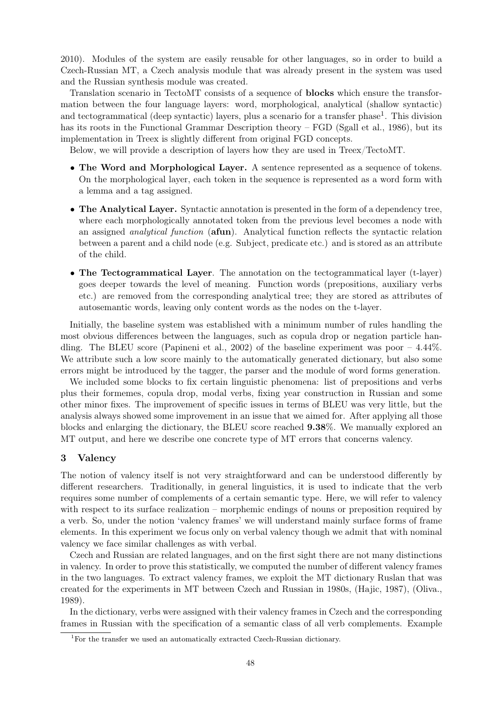2010). Modules of the system are easily reusable for other languages, so in order to build a Czech-Russian MT, a Czech analysis module that was already present in the system was used and the Russian synthesis module was created.

Translation scenario in TectoMT consists of a sequence of blocks which ensure the transformation between the four language layers: word, morphological, analytical (shallow syntactic) and tectogrammatical (deep syntactic) layers, plus a scenario for a transfer phase<sup>1</sup>. This division has its roots in the Functional Grammar Description theory – FGD (Sgall et al., 1986), but its implementation in Treex is slightly different from original FGD concepts.

Below, we will provide a description of layers how they are used in Treex/TectoMT.

- The Word and Morphological Layer. A sentence represented as a sequence of tokens. On the morphological layer, each token in the sequence is represented as a word form with a lemma and a tag assigned.
- The Analytical Layer. Syntactic annotation is presented in the form of a dependency tree, where each morphologically annotated token from the previous level becomes a node with an assigned analytical function (afun). Analytical function reflects the syntactic relation between a parent and a child node (e.g. Subject, predicate etc.) and is stored as an attribute of the child.
- The Tectogrammatical Layer. The annotation on the tectogrammatical layer (t-layer) goes deeper towards the level of meaning. Function words (prepositions, auxiliary verbs etc.) are removed from the corresponding analytical tree; they are stored as attributes of autosemantic words, leaving only content words as the nodes on the t-layer.

Initially, the baseline system was established with a minimum number of rules handling the most obvious differences between the languages, such as copula drop or negation particle handling. The BLEU score (Papineni et al., 2002) of the baseline experiment was poor  $-4.44\%$ . We attribute such a low score mainly to the automatically generated dictionary, but also some errors might be introduced by the tagger, the parser and the module of word forms generation.

We included some blocks to fix certain linguistic phenomena: list of prepositions and verbs plus their formemes, copula drop, modal verbs, fixing year construction in Russian and some other minor fixes. The improvement of specific issues in terms of BLEU was very little, but the analysis always showed some improvement in an issue that we aimed for. After applying all those blocks and enlarging the dictionary, the BLEU score reached 9.38%. We manually explored an MT output, and here we describe one concrete type of MT errors that concerns valency.

### 3 Valency

The notion of valency itself is not very straightforward and can be understood differently by different researchers. Traditionally, in general linguistics, it is used to indicate that the verb requires some number of complements of a certain semantic type. Here, we will refer to valency with respect to its surface realization – morphemic endings of nouns or preposition required by a verb. So, under the notion 'valency frames' we will understand mainly surface forms of frame elements. In this experiment we focus only on verbal valency though we admit that with nominal valency we face similar challenges as with verbal.

Czech and Russian are related languages, and on the first sight there are not many distinctions in valency. In order to prove this statistically, we computed the number of different valency frames in the two languages. To extract valency frames, we exploit the MT dictionary Ruslan that was created for the experiments in MT between Czech and Russian in 1980s, (Hajic, 1987), (Oliva., 1989).

In the dictionary, verbs were assigned with their valency frames in Czech and the corresponding frames in Russian with the specification of a semantic class of all verb complements. Example

<sup>&</sup>lt;sup>1</sup>For the transfer we used an automatically extracted Czech-Russian dictionary.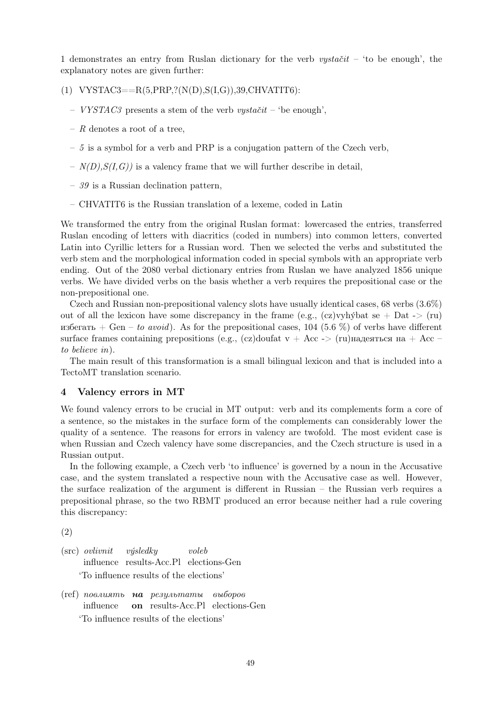1 demonstrates an entry from Ruslan dictionary for the verb  $vystačit$  – 'to be enough', the explanatory notes are given further:

(1) VYSTAC3== $R(5, PRP, ?(N(D), S(I, G)), 39, CHVATIT6)$ :

- VYSTAC3 presents a stem of the verb vystačit 'be enough',
- $R$  denotes a root of a tree,
- $-5$  is a symbol for a verb and PRP is a conjugation pattern of the Czech verb,
- $N(D), S(I, G)$  is a valency frame that we will further describe in detail,
- $-39$  is a Russian declination pattern,
- CHVATIT6 is the Russian translation of a lexeme, coded in Latin

We transformed the entry from the original Ruslan format: lowercased the entries, transferred Ruslan encoding of letters with diacritics (coded in numbers) into common letters, converted Latin into Cyrillic letters for a Russian word. Then we selected the verbs and substituted the verb stem and the morphological information coded in special symbols with an appropriate verb ending. Out of the 2080 verbal dictionary entries from Ruslan we have analyzed 1856 unique verbs. We have divided verbs on the basis whether a verb requires the prepositional case or the non-prepositional one.

Czech and Russian non-prepositional valency slots have usually identical cases, 68 verbs (3.6%) out of all the lexicon have some discrepancy in the frame (e.g.,  $(cz)$ ) when  $\zeta$  is  $\zeta$  =  $\zeta$  (ru) избегать + Gen – to avoid). As for the prepositional cases, 104 (5.6 %) of verbs have different surface frames containing prepositions (e.g., (cz)doufat v + Acc -> (ru)надеяться на + Acc – to believe in).

The main result of this transformation is a small bilingual lexicon and that is included into a TectoMT translation scenario.

#### 4 Valency errors in MT

We found valency errors to be crucial in MT output: verb and its complements form a core of a sentence, so the mistakes in the surface form of the complements can considerably lower the quality of a sentence. The reasons for errors in valency are twofold. The most evident case is when Russian and Czech valency have some discrepancies, and the Czech structure is used in a Russian output.

In the following example, a Czech verb 'to influence' is governed by a noun in the Accusative case, and the system translated a respective noun with the Accusative case as well. However, the surface realization of the argument is different in Russian – the Russian verb requires a prepositional phrase, so the two RBMT produced an error because neither had a rule covering this discrepancy:

(2)

- (src) ovlivnit influence results-Acc.Pl elections-Gen  $v$ úsledku voleb 'To influence results of the elections'
- (ref) повлиять **на** результаты выборов influence on results-Acc.Pl elections-Gen 'To influence results of the elections'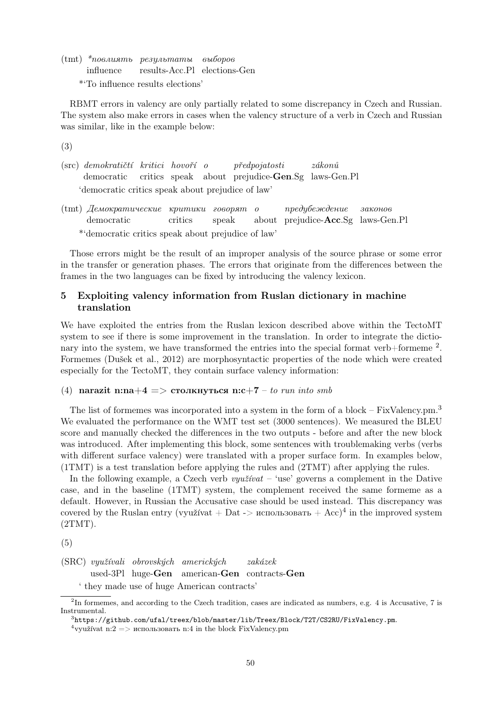(tmt) \*повлиять результаты influence results-Acc.Pl elections-Gen выборов \*'To influence results elections'

RBMT errors in valency are only partially related to some discrepancy in Czech and Russian. The system also make errors in cases when the valency structure of a verb in Czech and Russian was similar, like in the example below:

(3)

- (src) demokratičtí kritici hovoří o democratic critics speak about prejudice-Gen.Sg laws-Gen.Pl  $p\check{r}edpojatosti$  $zákonů$ 'democratic critics speak about prejudice of law'
- (tmt) Демократические критики говорят democratic critics speak о about prejudice-Acc.Sg laws-Gen.Pl предубеждение законов \*'democratic critics speak about prejudice of law'

Those errors might be the result of an improper analysis of the source phrase or some error in the transfer or generation phases. The errors that originate from the differences between the frames in the two languages can be fixed by introducing the valency lexicon.

# 5 Exploiting valency information from Ruslan dictionary in machine translation

We have exploited the entries from the Ruslan lexicon described above within the TectoMT system to see if there is some improvement in the translation. In order to integrate the dictionary into the system, we have transformed the entries into the special format verb+formeme  $^2$ . Formemes (Dušek et al., 2012) are morphosyntactic properties of the node which were created especially for the TectoMT, they contain surface valency information:

### (4) narazit n:na+4 => столкнуться n:c+7 – to run into smb

The list of formemes was incorporated into a system in the form of a block – FixValency.pm.<sup>3</sup> We evaluated the performance on the WMT test set (3000 sentences). We measured the BLEU score and manually checked the differences in the two outputs - before and after the new block was introduced. After implementing this block, some sentences with troublemaking verbs (verbs with different surface valency) were translated with a proper surface form. In examples below, (1TMT) is a test translation before applying the rules and (2TMT) after applying the rules.

In the following example, a Czech verb *využívat* – 'use' governs a complement in the Dative case, and in the baseline (1TMT) system, the complement received the same formeme as a default. However, in Russian the Accusative case should be used instead. This discrepancy was covered by the Ruslan entry (využívat + Dat -> использовать + Acc)<sup>4</sup> in the improved system  $(2TMT)$ .

(5)

(SRC) využívali obrovských amerických used-3Pl huge-Gen american-Gen contracts-Gen  $zak\acute{a}zek$ 

' they made use of huge American contracts'

<sup>&</sup>lt;sup>2</sup>In formemes, and according to the Czech tradition, cases are indicated as numbers, e.g. 4 is Accusative, 7 is Instrumental.

 $^3$ https://github.com/ufal/treex/blob/master/lib/Treex/Block/T2T/CS2RU/FixValency.pm.

<sup>&</sup>lt;sup>4</sup> využívat n:2 => использовать n:4 in the block FixValency.pm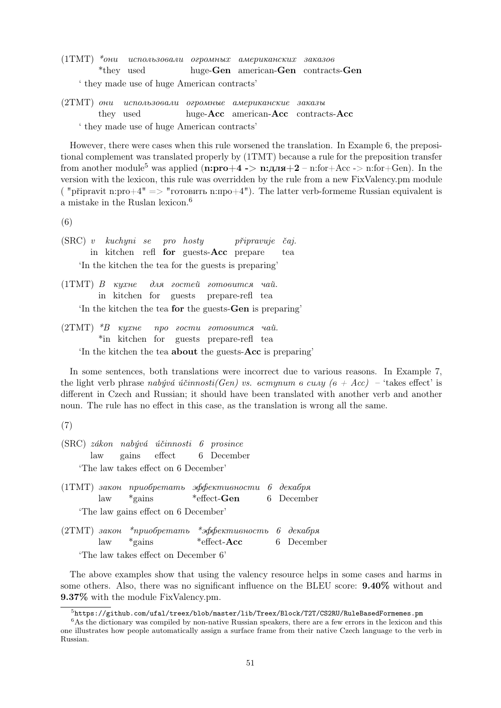- (1TMT) \*они использовали огромных американских заказов \*they used huge-Gen american-Gen contracts-Gen ' they made use of huge American contracts'
- (2TMT) они использовали огромные американские заказы they used huge-Acc american-Acc contracts-Acc ' they made use of huge American contracts'

However, there were cases when this rule worsened the translation. In Example 6, the prepositional complement was translated properly by (1TMT) because a rule for the preposition transfer from another module<sup>5</sup> was applied (n:pro+4 -> n:для+2 – n:for+Acc -> n:for+Gen). In the version with the lexicon, this rule was overridden by the rule from a new FixValency.pm module ( "připravit n:pro+4"  $\Rightarrow$  "готовить n:про+4"). The latter verb-formeme Russian equivalent is a mistake in the Ruslan lexicon.<sup>6</sup>

(6)

- (SRC) v kuchyni se in kitchen refl for guests-Acc prepare pro hosty připravuje čaj. tea 'In the kitchen the tea for the guests is preparing'
- (1TMT) В кухне in kitchen for guests для гостей готовится чай. prepare-refl tea 'In the kitchen the tea for the guests-Gen is preparing'
- (2TMT) \*В кухне \*in kitchen for guests prepare-refl tea про гости готовится чай. 'In the kitchen the tea about the guests-Acc is preparing'

In some sentences, both translations were incorrect due to various reasons. In Example 7, the light verb phrase nabyvá účinnosti(Gen) vs. вступит в силу (в + Acc) – 'takes effect' is different in Czech and Russian; it should have been translated with another verb and another noun. The rule has no effect in this case, as the translation is wrong all the same.

(7)

- (SRC) zákon nabývá účinnosti 6 prosince law gains effect 6 December 'The law takes effect on 6 December'
- (1TMT) закон приобретать эффективности 6 декабря law \*gains \*effect-Gen 6 December 'The law gains effect on 6 December'
- (2TMT) закон law \*приобретать \*эффективность \*gains \*effect-Acc 6 декабря 6 December 'The law takes effect on December 6'

The above examples show that using the valency resource helps in some cases and harms in some others. Also, there was no significant influence on the BLEU score: 9.40% without and 9.37% with the module FixValency.pm.

 $^5$ https://github.com/ufal/treex/blob/master/lib/Treex/Block/T2T/CS2RU/RuleBasedFormemes.pm

<sup>&</sup>lt;sup>6</sup>As the dictionary was compiled by non-native Russian speakers, there are a few errors in the lexicon and this one illustrates how people automatically assign a surface frame from their native Czech language to the verb in Russian.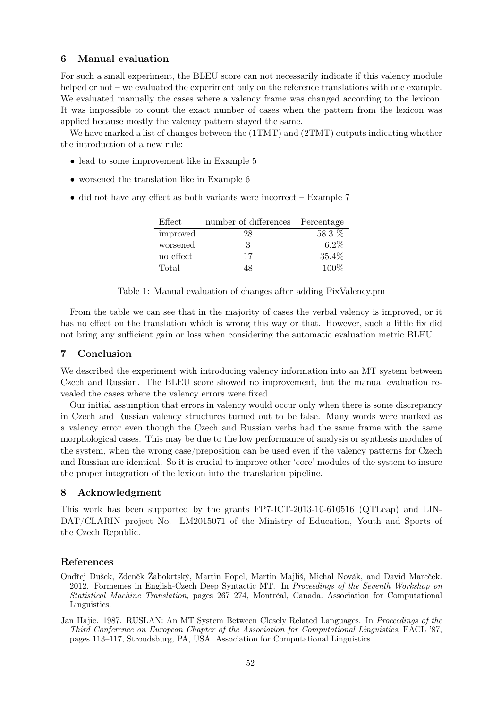## 6 Manual evaluation

For such a small experiment, the BLEU score can not necessarily indicate if this valency module helped or not – we evaluated the experiment only on the reference translations with one example. We evaluated manually the cases where a valency frame was changed according to the lexicon. It was impossible to count the exact number of cases when the pattern from the lexicon was applied because mostly the valency pattern stayed the same.

We have marked a list of changes between the (1TMT) and (2TMT) outputs indicating whether the introduction of a new rule:

- lead to some improvement like in Example 5
- worsened the translation like in Example 6
- did not have any effect as both variants were incorrect Example 7

| Effect    | number of differences Percentage |          |
|-----------|----------------------------------|----------|
| improved  | 28                               | 58.3 $%$ |
| worsened  | 3                                | $6.2\%$  |
| no effect | 17                               | 35.4%    |
| Total     | 18                               | $100\%$  |

Table 1: Manual evaluation of changes after adding FixValency.pm

From the table we can see that in the majority of cases the verbal valency is improved, or it has no effect on the translation which is wrong this way or that. However, such a little fix did not bring any sufficient gain or loss when considering the automatic evaluation metric BLEU.

## 7 Conclusion

We described the experiment with introducing valency information into an MT system between Czech and Russian. The BLEU score showed no improvement, but the manual evaluation revealed the cases where the valency errors were fixed.

Our initial assumption that errors in valency would occur only when there is some discrepancy in Czech and Russian valency structures turned out to be false. Many words were marked as a valency error even though the Czech and Russian verbs had the same frame with the same morphological cases. This may be due to the low performance of analysis or synthesis modules of the system, when the wrong case/preposition can be used even if the valency patterns for Czech and Russian are identical. So it is crucial to improve other 'core' modules of the system to insure the proper integration of the lexicon into the translation pipeline.

### 8 Acknowledgment

This work has been supported by the grants FP7-ICT-2013-10-610516 (QTLeap) and LIN-DAT/CLARIN project No. LM2015071 of the Ministry of Education, Youth and Sports of the Czech Republic.

# References

- Ondřej Dušek, Zdeněk Žabokrtský, Martin Popel, Martin Majliš, Michal Novák, and David Mareček. 2012. Formemes in English-Czech Deep Syntactic MT. In Proceedings of the Seventh Workshop on Statistical Machine Translation, pages 267–274, Montréal, Canada. Association for Computational Linguistics.
- Jan Hajic. 1987. RUSLAN: An MT System Between Closely Related Languages. In Proceedings of the Third Conference on European Chapter of the Association for Computational Linguistics, EACL '87, pages 113–117, Stroudsburg, PA, USA. Association for Computational Linguistics.